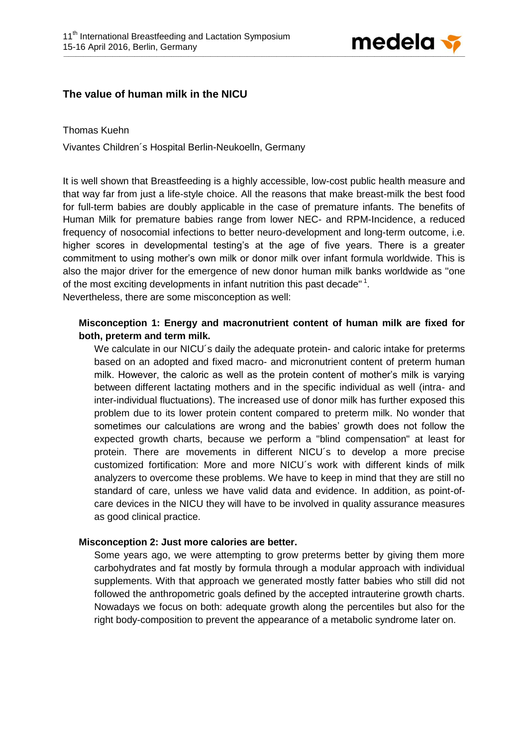

# **The value of human milk in the NICU**

#### Thomas Kuehn

Vivantes Children´s Hospital Berlin-Neukoelln, Germany

It is well shown that Breastfeeding is a highly accessible, low-cost public health measure and that way far from just a life-style choice. All the reasons that make breast-milk the best food for full-term babies are doubly applicable in the case of premature infants. The benefits of Human Milk for premature babies range from lower NEC- and RPM-Incidence, a reduced frequency of nosocomial infections to better neuro-development and long-term outcome, i.e. higher scores in developmental testing's at the age of five years. There is a greater commitment to using mother's own milk or donor milk over infant formula worldwide. This is also the major driver for the emergence of new donor human milk banks worldwide as "one of the most exciting developments in infant nutrition this past decade" 1. Nevertheless, there are some misconception as well:

### **Misconception 1: Energy and macronutrient content of human milk are fixed for both, preterm and term milk.**

We calculate in our NICU's daily the adequate protein- and caloric intake for preterms based on an adopted and fixed macro- and micronutrient content of preterm human milk. However, the caloric as well as the protein content of mother's milk is varying between different lactating mothers and in the specific individual as well (intra- and inter-individual fluctuations). The increased use of donor milk has further exposed this problem due to its lower protein content compared to preterm milk. No wonder that sometimes our calculations are wrong and the babies' growth does not follow the expected growth charts, because we perform a "blind compensation" at least for protein. There are movements in different NICU´s to develop a more precise customized fortification: More and more NICU´s work with different kinds of milk analyzers to overcome these problems. We have to keep in mind that they are still no standard of care, unless we have valid data and evidence. In addition, as point-ofcare devices in the NICU they will have to be involved in quality assurance measures as good clinical practice.

### **Misconception 2: Just more calories are better.**

Some years ago, we were attempting to grow preterms better by giving them more carbohydrates and fat mostly by formula through a modular approach with individual supplements. With that approach we generated mostly fatter babies who still did not followed the anthropometric goals defined by the accepted intrauterine growth charts. Nowadays we focus on both: adequate growth along the percentiles but also for the right body-composition to prevent the appearance of a metabolic syndrome later on.